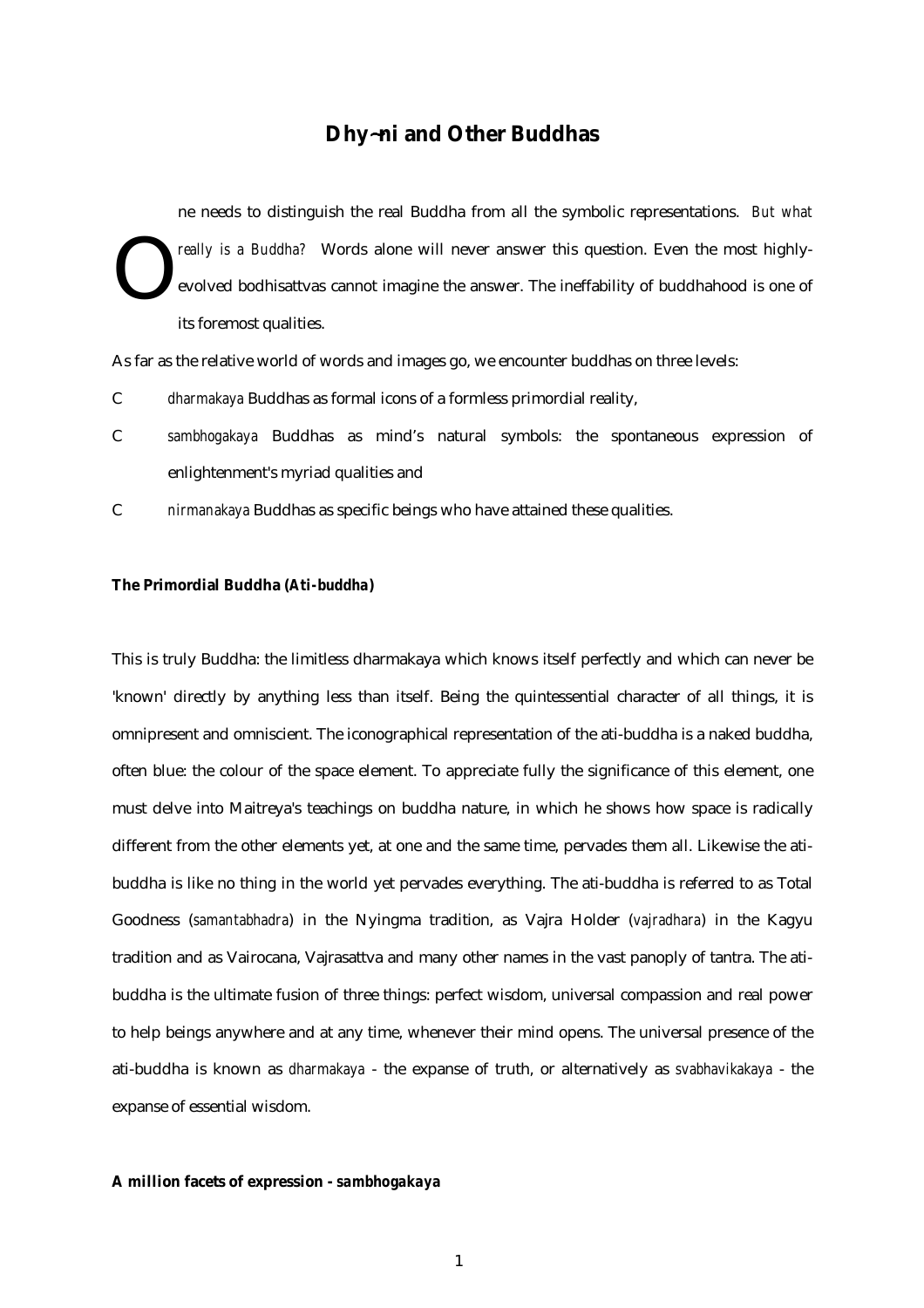# **Dhy**~**ni and Other Buddhas**

ne needs to distinguish the real Buddha from all the symbolic representations. *But what really is a Buddha?* Words alone will never answer this question. Even the most highlyevolved bodhisattvas cannot imagine the answer. The ineffability of buddhahood is one of its foremost qualities. O

As far as the relative world of words and images go, we encounter buddhas on three levels:

- C *dharmakaya* Buddhas as formal icons of a formless primordial reality,
- C *sambhogakaya* Buddhas as mind's natural symbols: the spontaneous expression of enlightenment's myriad qualities and
- C *nirmanakaya* Buddhas as specific beings who have attained these qualities.

## **The Primordial Buddha (***Ati-buddha***)**

This is truly Buddha: the limitless dharmakaya which knows itself perfectly and which can never be 'known' directly by anything less than itself. Being the quintessential character of all things, it is omnipresent and omniscient. The iconographical representation of the ati-buddha is a naked buddha, often blue: the colour of the space element. To appreciate fully the significance of this element, one must delve into Maitreya's teachings on buddha nature, in which he shows how space is radically different from the other elements yet, at one and the same time, pervades them all. Likewise the atibuddha is like no thing in the world yet pervades everything. The ati-buddha is referred to as Total Goodness (*samantabhadra*) in the Nyingma tradition, as Vajra Holder (*vajradhara*) in the Kagyu tradition and as Vairocana, Vajrasattva and many other names in the vast panoply of tantra. The atibuddha is the ultimate fusion of three things: perfect wisdom, universal compassion and real power to help beings anywhere and at any time, whenever their mind opens. The universal presence of the ati-buddha is known as *dharmakaya* - the expanse of truth, or alternatively as *svabhavikakaya* - the expanse of essential wisdom.

### **A million facets of expression -** *sambhogakaya*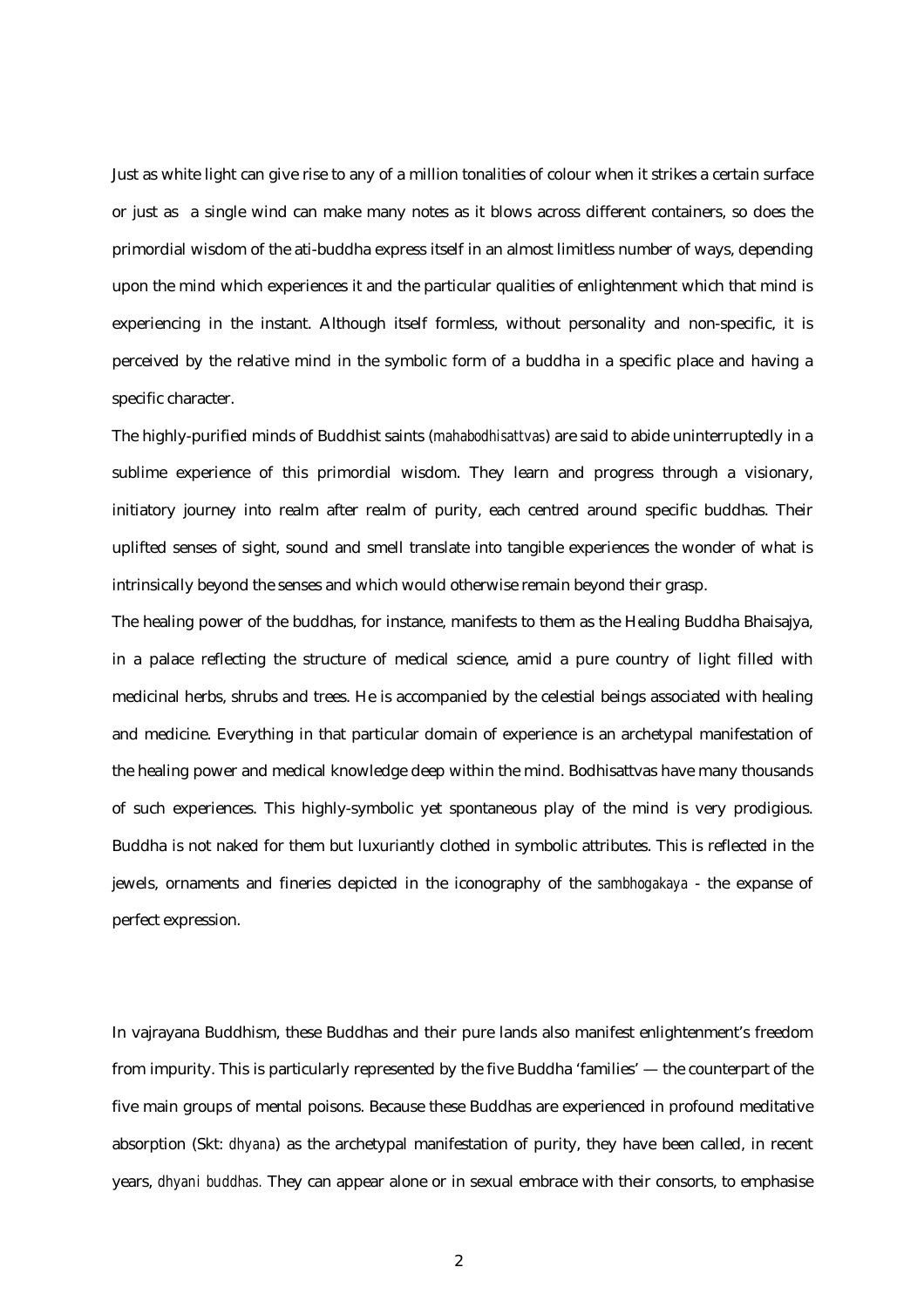Just as white light can give rise to any of a million tonalities of colour when it strikes a certain surface or just as a single wind can make many notes as it blows across different containers, so does the primordial wisdom of the ati-buddha express itself in an almost limitless number of ways, depending upon the mind which experiences it and the particular qualities of enlightenment which that mind is experiencing in the instant. Although itself formless, without personality and non-specific, it is perceived by the relative mind in the symbolic form of a buddha in a specific place and having a specific character.

The highly-purified minds of Buddhist saints (*mahabodhisattvas*) are said to abide uninterruptedly in a sublime experience of this primordial wisdom. They learn and progress through a visionary, initiatory journey into realm after realm of purity, each centred around specific buddhas. Their uplifted senses of sight, sound and smell translate into tangible experiences the wonder of what is intrinsically beyond the senses and which would otherwise remain beyond their grasp.

The healing power of the buddhas, for instance, manifests to them as the Healing Buddha Bhaisajya, in a palace reflecting the structure of medical science, amid a pure country of light filled with medicinal herbs, shrubs and trees. He is accompanied by the celestial beings associated with healing and medicine. Everything in that particular domain of experience is an archetypal manifestation of the healing power and medical knowledge deep within the mind. Bodhisattvas have many thousands of such experiences. This highly-symbolic yet spontaneous play of the mind is very prodigious. Buddha is not naked for them but luxuriantly clothed in symbolic attributes. This is reflected in the jewels, ornaments and fineries depicted in the iconography of the *sambhogakaya* - the expanse of perfect expression.

In vajrayana Buddhism, these Buddhas and their pure lands also manifest enlightenment's freedom from impurity. This is particularly represented by the five Buddha 'families' — the counterpart of the five main groups of mental poisons. Because these Buddhas are experienced in profound meditative absorption (Skt: *dhyana*) as the archetypal manifestation of purity, they have been called, in recent years, *dhyani buddhas.* They can appear alone or in sexual embrace with their consorts, to emphasise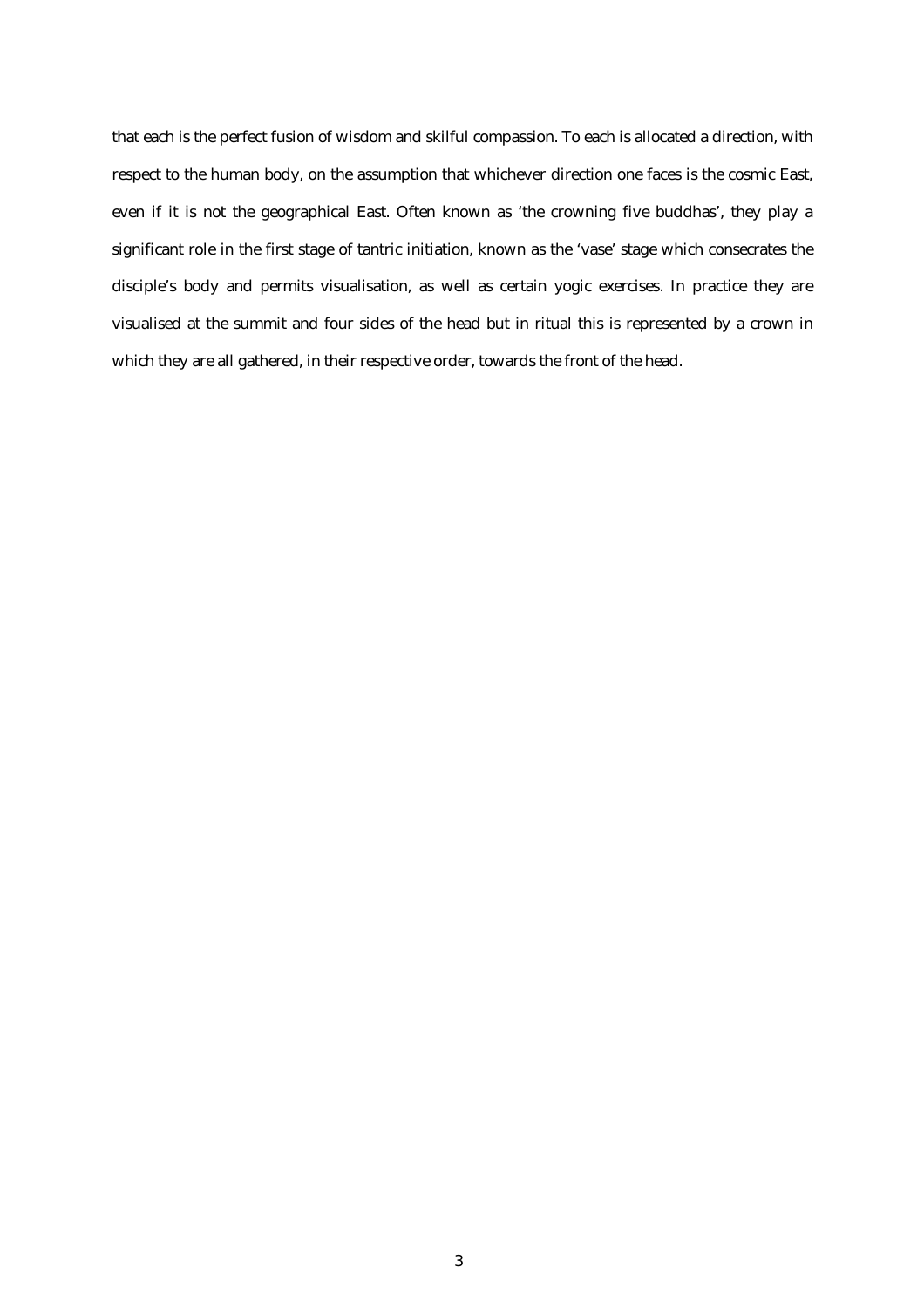that each is the perfect fusion of wisdom and skilful compassion. To each is allocated a direction, with respect to the human body, on the assumption that whichever direction one faces is the cosmic East, even if it is not the geographical East. Often known as 'the crowning five buddhas', they play a significant role in the first stage of tantric initiation, known as the 'vase' stage which consecrates the disciple's body and permits visualisation, as well as certain yogic exercises. In practice they are visualised at the summit and four sides of the head but in ritual this is represented by a crown in which they are all gathered, in their respective order, towards the front of the head.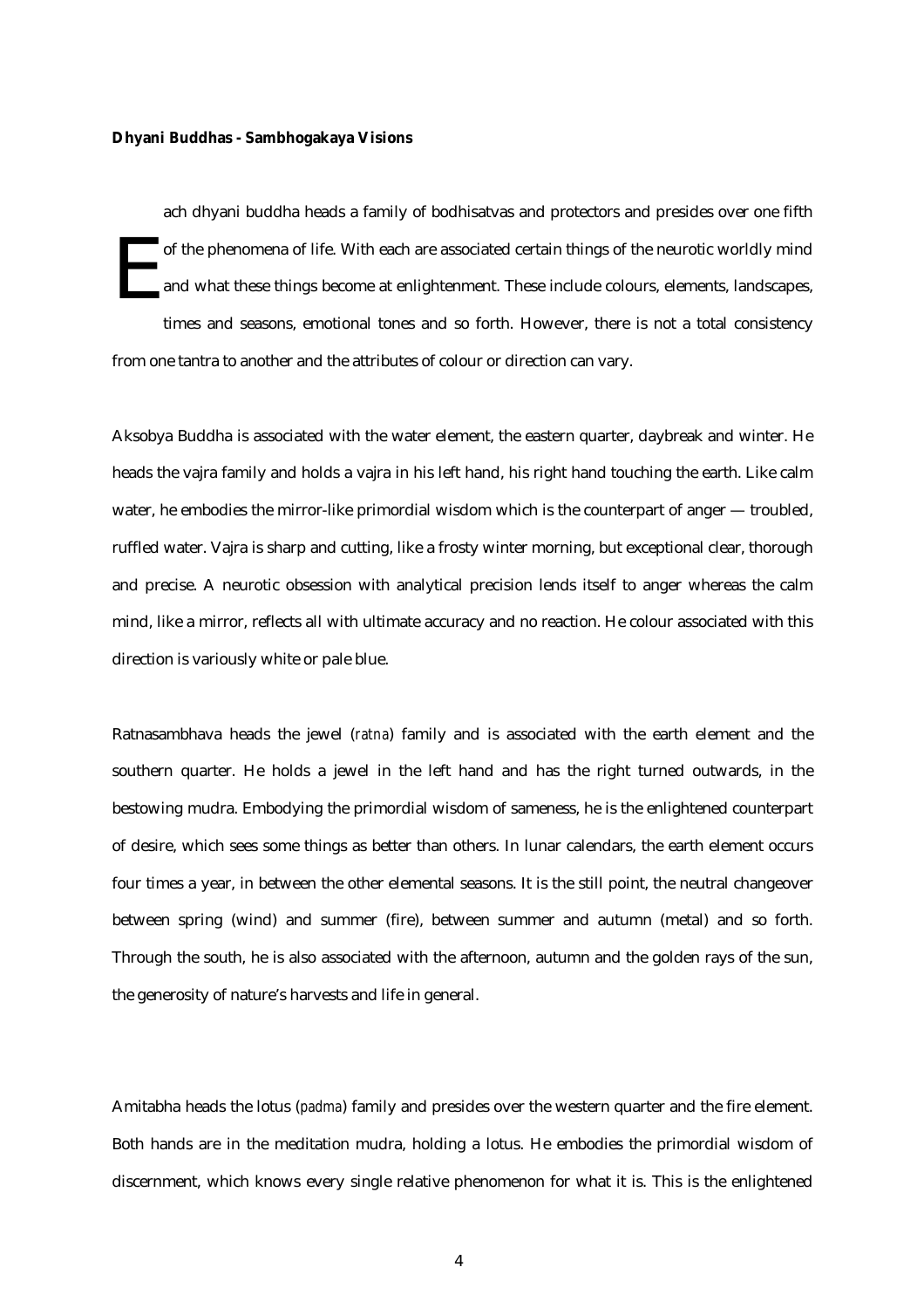#### **Dhyani Buddhas - Sambhogakaya Visions**

ach dhyani buddha heads a family of bodhisatvas and protectors and presides over one fifth of the phenomena of life. With each are associated certain things of the neurotic worldly mind and what these things become at enlightenment. These include colours, elements, landscapes, times and seasons, emotional tones and so forth. However, there is not a total consistency from one tantra to another and the attributes of colour or direction can vary. E

Aksobya Buddha is associated with the water element, the eastern quarter, daybreak and winter. He heads the vajra family and holds a vajra in his left hand, his right hand touching the earth. Like calm water, he embodies the mirror-like primordial wisdom which is the counterpart of anger — troubled, ruffled water. Vajra is sharp and cutting, like a frosty winter morning, but exceptional clear, thorough and precise. A neurotic obsession with analytical precision lends itself to anger whereas the calm mind, like a mirror, reflects all with ultimate accuracy and no reaction. He colour associated with this direction is variously white or pale blue.

Ratnasambhava heads the jewel (*ratna*) family and is associated with the earth element and the southern quarter. He holds a jewel in the left hand and has the right turned outwards, in the bestowing mudra. Embodying the primordial wisdom of sameness, he is the enlightened counterpart of desire, which sees some things as better than others. In lunar calendars, the earth element occurs four times a year, in between the other elemental seasons. It is the still point, the neutral changeover between spring (wind) and summer (fire), between summer and autumn (metal) and so forth. Through the south, he is also associated with the afternoon, autumn and the golden rays of the sun, the generosity of nature's harvests and life in general.

Amitabha heads the lotus (*padma*) family and presides over the western quarter and the fire element. Both hands are in the meditation mudra, holding a lotus. He embodies the primordial wisdom of discernment, which knows every single relative phenomenon for what it is. This is the enlightened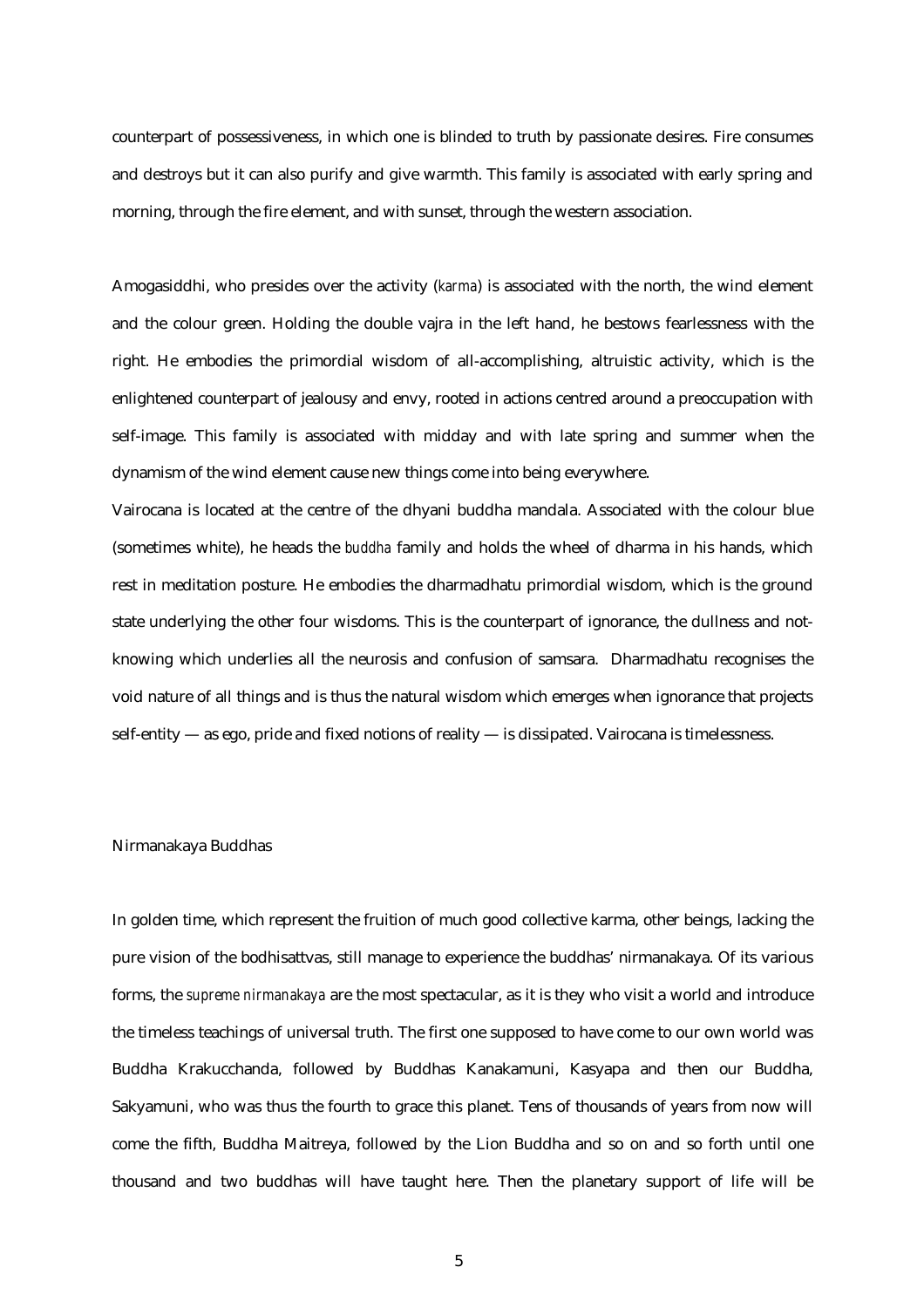counterpart of possessiveness, in which one is blinded to truth by passionate desires. Fire consumes and destroys but it can also purify and give warmth. This family is associated with early spring and morning, through the fire element, and with sunset, through the western association.

Amogasiddhi, who presides over the activity (*karma*) is associated with the north, the wind element and the colour green. Holding the double vajra in the left hand, he bestows fearlessness with the right. He embodies the primordial wisdom of all-accomplishing, altruistic activity, which is the enlightened counterpart of jealousy and envy, rooted in actions centred around a preoccupation with self-image. This family is associated with midday and with late spring and summer when the dynamism of the wind element cause new things come into being everywhere.

Vairocana is located at the centre of the dhyani buddha mandala. Associated with the colour blue (sometimes white), he heads the *buddha* family and holds the wheel of dharma in his hands, which rest in meditation posture. He embodies the dharmadhatu primordial wisdom, which is the ground state underlying the other four wisdoms. This is the counterpart of ignorance, the dullness and notknowing which underlies all the neurosis and confusion of samsara. Dharmadhatu recognises the void nature of all things and is thus the natural wisdom which emerges when ignorance that projects self-entity — as ego, pride and fixed notions of reality — is dissipated. Vairocana is timelessness.

### Nirmanakaya Buddhas

In golden time, which represent the fruition of much good collective karma, other beings, lacking the pure vision of the bodhisattvas, still manage to experience the buddhas' nirmanakaya. Of its various forms, the *supreme nirmanakaya* are the most spectacular, as it is they who visit a world and introduce the timeless teachings of universal truth. The first one supposed to have come to our own world was Buddha Krakucchanda, followed by Buddhas Kanakamuni, Kasyapa and then our Buddha, Sakyamuni, who was thus the fourth to grace this planet. Tens of thousands of years from now will come the fifth, Buddha Maitreya, followed by the Lion Buddha and so on and so forth until one thousand and two buddhas will have taught here. Then the planetary support of life will be